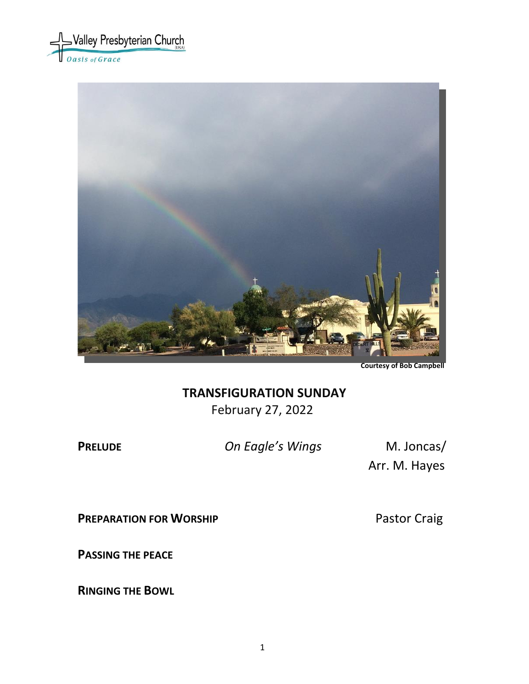



**Courtesy of Bob Campbell**

# **TRANSFIGURATION SUNDAY** February 27, 2022

**PRELUDE** *On Eagle's Wings* M. Joncas/

Arr. M. Hayes

**PREPARATION FOR WORSHIP** Pastor Craig

**PASSING THE PEACE**

**RINGING THE BOWL**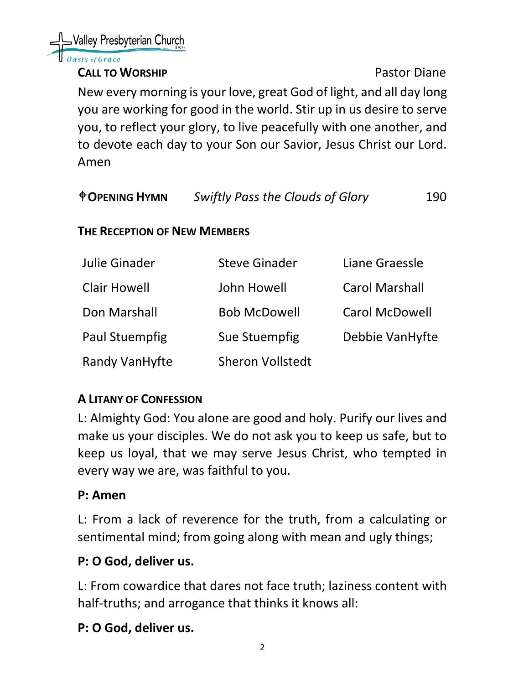#### **CALL TO WORSHIP CALL TO WORSHIP**

New every morning is your love, great God of light, and all day long you are working for good in the world. Stir up in us desire to serve you, to reflect your glory, to live peacefully with one another, and to devote each day to your Son our Savior, Jesus Christ our Lord. Amen

| <b><i><u>OPENING HYMN</u></i></b> | <b>Swiftly Pass the Clouds of Glory</b> | 190 |
|-----------------------------------|-----------------------------------------|-----|
|                                   |                                         |     |

#### **THE RECEPTION OF NEW MEMBERS**

| Julie Ginader         | <b>Steve Ginader</b>    | Liane Graessle        |
|-----------------------|-------------------------|-----------------------|
| <b>Clair Howell</b>   | John Howell             | <b>Carol Marshall</b> |
| Don Marshall          | <b>Bob McDowell</b>     | <b>Carol McDowell</b> |
| <b>Paul Stuempfig</b> | Sue Stuempfig           | Debbie VanHyfte       |
| <b>Randy VanHyfte</b> | <b>Sheron Vollstedt</b> |                       |

# **A LITANY OF CONFESSION**

L: Almighty God: You alone are good and holy. Purify our lives and make us your disciples. We do not ask you to keep us safe, but to keep us loyal, that we may serve Jesus Christ, who tempted in every way we are, was faithful to you.

#### **P: Amen**

L: From a lack of reverence for the truth, from a calculating or sentimental mind; from going along with mean and ugly things;

# **P: O God, deliver us.**

L: From cowardice that dares not face truth; laziness content with half-truths; and arrogance that thinks it knows all:

# **P: O God, deliver us.**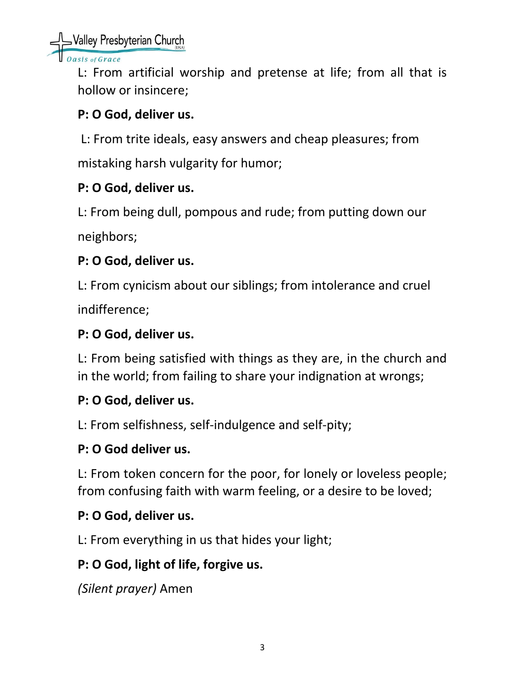Valley Presbyterian Church

sis of Grace

L: From artificial worship and pretense at life; from all that is hollow or insincere;

# **P: O God, deliver us.**

L: From trite ideals, easy answers and cheap pleasures; from

mistaking harsh vulgarity for humor;

# **P: O God, deliver us.**

L: From being dull, pompous and rude; from putting down our

neighbors;

# **P: O God, deliver us.**

L: From cynicism about our siblings; from intolerance and cruel indifference;

# **P: O God, deliver us.**

L: From being satisfied with things as they are, in the church and in the world; from failing to share your indignation at wrongs;

# **P: O God, deliver us.**

L: From selfishness, self-indulgence and self-pity;

# **P: O God deliver us.**

L: From token concern for the poor, for lonely or loveless people; from confusing faith with warm feeling, or a desire to be loved;

# **P: O God, deliver us.**

L: From everything in us that hides your light;

# **P: O God, light of life, forgive us.**

*(Silent prayer)* Amen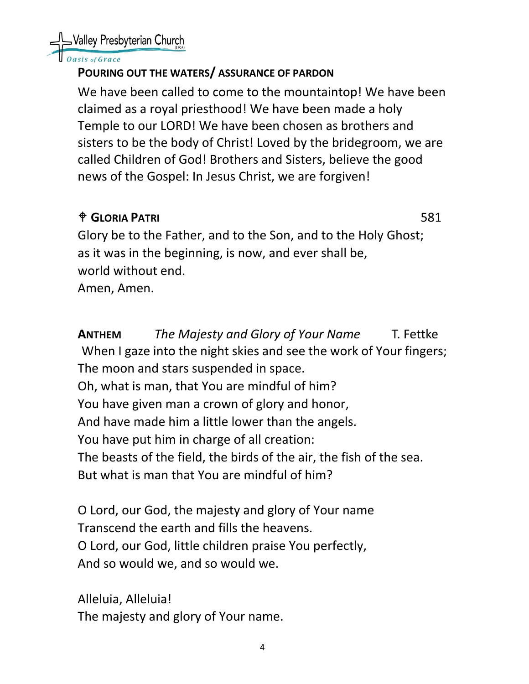

#### isis of Grace

#### **POURING OUT THE WATERS/ ASSURANCE OF PARDON**

We have been called to come to the mountaintop! We have been claimed as a royal priesthood! We have been made a holy Temple to our LORD! We have been chosen as brothers and sisters to be the body of Christ! Loved by the bridegroom, we are called Children of God! Brothers and Sisters, believe the good news of the Gospel: In Jesus Christ, we are forgiven!

# **GLORIA PATRI** 581

Glory be to the Father, and to the Son, and to the Holy Ghost; as it was in the beginning, is now, and ever shall be, world without end. Amen, Amen.

**ANTHEM** *The Majesty and Glory of Your Name* T. Fettke When I gaze into the night skies and see the work of Your fingers; The moon and stars suspended in space. Oh, what is man, that You are mindful of him? You have given man a crown of glory and honor, And have made him a little lower than the angels. You have put him in charge of all creation: The beasts of the field, the birds of the air, the fish of the sea. But what is man that You are mindful of him?

O Lord, our God, the majesty and glory of Your name Transcend the earth and fills the heavens. O Lord, our God, little children praise You perfectly, And so would we, and so would we.

Alleluia, Alleluia! The majesty and glory of Your name.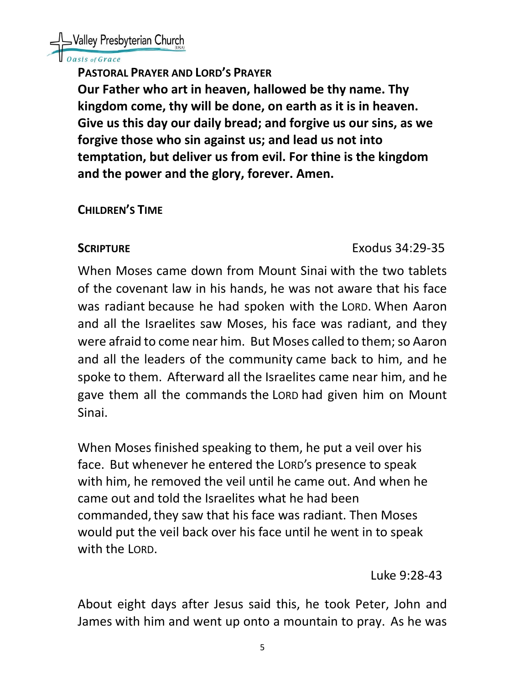

#### asis of Grace

**PASTORAL PRAYER AND LORD'S PRAYER**

**Our Father who art in heaven, hallowed be thy name. Thy kingdom come, thy will be done, on earth as it is in heaven. Give us this day our daily bread; and forgive us our sins, as we forgive those who sin against us; and lead us not into temptation, but deliver us from evil. For thine is the kingdom and the power and the glory, forever. Amen.** 

#### **CHILDREN'S TIME**

#### **SCRIPTURE** Exodus 34:29-35

When Moses came down from Mount Sinai with the two tablets of the covenant law in his hands, he was not aware that his face was radiant because he had spoken with the LORD. When Aaron and all the Israelites saw Moses, his face was radiant, and they were afraid to come near him. But Moses called to them; so Aaron and all the leaders of the community came back to him, and he spoke to them. Afterward all the Israelites came near him, and he gave them all the commands the LORD had given him on Mount Sinai.

When Moses finished speaking to them, he put a veil over his face. But whenever he entered the LORD's presence to speak with him, he removed the veil until he came out. And when he came out and told the Israelites what he had been commanded, they saw that his face was radiant. Then Moses would put the veil back over his face until he went in to speak with the LORD.

Luke 9:28-43

About eight days after Jesus said this, he took Peter, John and James with him and went up onto a mountain to pray. As he was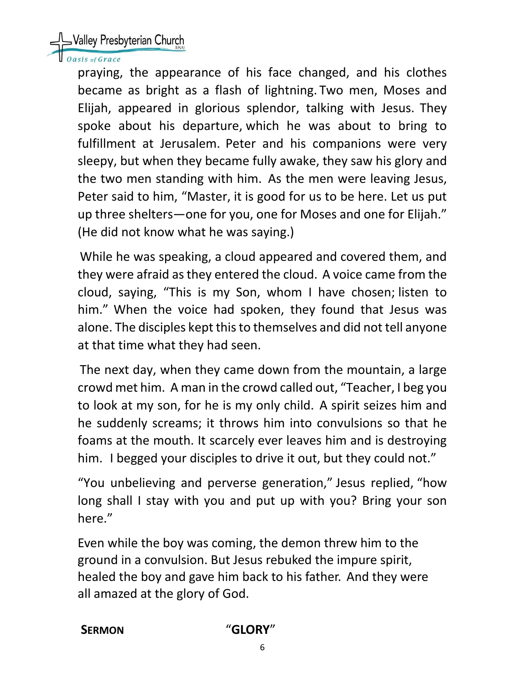# SValley Presbyterian Church

#### asis of Grace

praying, the appearance of his face changed, and his clothes became as bright as a flash of lightning. Two men, Moses and Elijah, appeared in glorious splendor, talking with Jesus. They spoke about his departure, which he was about to bring to fulfillment at Jerusalem. Peter and his companions were very sleepy, but when they became fully awake, they saw his glory and the two men standing with him. As the men were leaving Jesus, Peter said to him, "Master, it is good for us to be here. Let us put up three shelters—one for you, one for Moses and one for Elijah." (He did not know what he was saying.)

While he was speaking, a cloud appeared and covered them, and they were afraid as they entered the cloud. A voice came from the cloud, saying, "This is my Son, whom I have chosen; listen to him." When the voice had spoken, they found that Jesus was alone. The disciples kept this to themselves and did not tell anyone at that time what they had seen.

The next day, when they came down from the mountain, a large crowd met him. A man in the crowd called out, "Teacher, I beg you to look at my son, for he is my only child. A spirit seizes him and he suddenly screams; it throws him into convulsions so that he foams at the mouth. It scarcely ever leaves him and is destroying him. I begged your disciples to drive it out, but they could not."

"You unbelieving and perverse generation," Jesus replied, "how long shall I stay with you and put up with you? Bring your son here."

Even while the boy was coming, the demon threw him to the ground in a convulsion. But Jesus rebuked the impure spirit, healed the boy and gave him back to his father. And they were all amazed at the glory of God.

#### **SERMON** "**GLORY**"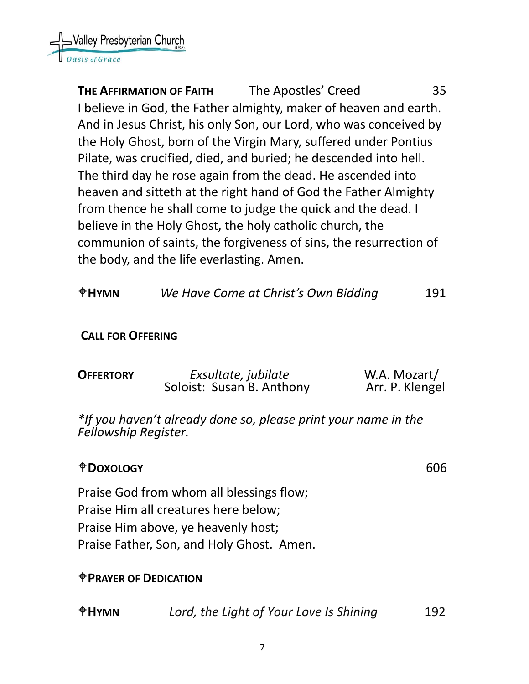

**THE AFFIRMATION OF FAITH** The Apostles' Creed 35 I believe in God, the Father almighty, maker of heaven and earth. And in Jesus Christ, his only Son, our Lord, who was conceived by the Holy Ghost, born of the Virgin Mary, suffered under Pontius Pilate, was crucified, died, and buried; he descended into hell. The third day he rose again from the dead. He ascended into heaven and sitteth at the right hand of God the Father Almighty from thence he shall come to judge the quick and the dead. I believe in the Holy Ghost, the holy catholic church, the communion of saints, the forgiveness of sins, the resurrection of the body, and the life everlasting. Amen.

**HYMN** *We Have Come at Christ's Own Bidding* 191

#### **CALL FOR OFFERING**

| <b>OFFERTORY</b> | Exsultate, jubilate       | W.A. Mozart/    |
|------------------|---------------------------|-----------------|
|                  | Soloist: Susan B. Anthony | Arr. P. Klengel |

*\*If you haven't already done so, please print your name in the Fellowship Register.*

#### **DOXOLOGY** 606

Praise God from whom all blessings flow; Praise Him all creatures here below; Praise Him above, ye heavenly host; Praise Father, Son, and Holy Ghost. Amen.

#### **PRAYER OF DEDICATION**

| <b>OHYMN</b> | Lord, the Light of Your Love Is Shining | 192 |
|--------------|-----------------------------------------|-----|
|--------------|-----------------------------------------|-----|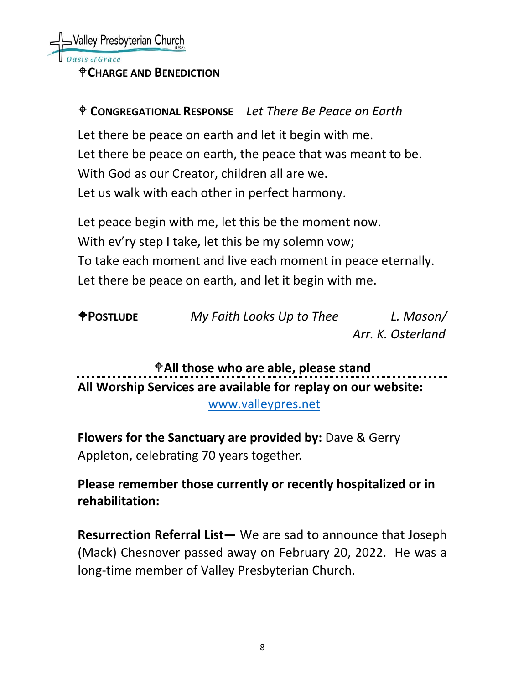#### **CHARGE AND BENEDICTION**

# **CONGREGATIONAL RESPONSE** *Let There Be Peace on Earth*

Let there be peace on earth and let it begin with me. Let there be peace on earth, the peace that was meant to be. With God as our Creator, children all are we. Let us walk with each other in perfect harmony.

Let peace begin with me, let this be the moment now. With ev'ry step I take, let this be my solemn vow; To take each moment and live each moment in peace eternally. Let there be peace on earth, and let it begin with me.

| <b>POSTLUDE</b> | My Faith Looks Up to Thee | L. Mason/         |
|-----------------|---------------------------|-------------------|
|                 |                           | Arr. K. Osterland |

**All those who are able, please stand All Worship Services are available for replay on our website:** 

[www.valleypres.net](http://www.valleypres.net/)

**Flowers for the Sanctuary are provided by:** Dave & Gerry Appleton, celebrating 70 years together.

**Please remember those currently or recently hospitalized or in rehabilitation:**

**Resurrection Referral List—** We are sad to announce that Joseph (Mack) Chesnover passed away on February 20, 2022. He was a long-time member of Valley Presbyterian Church.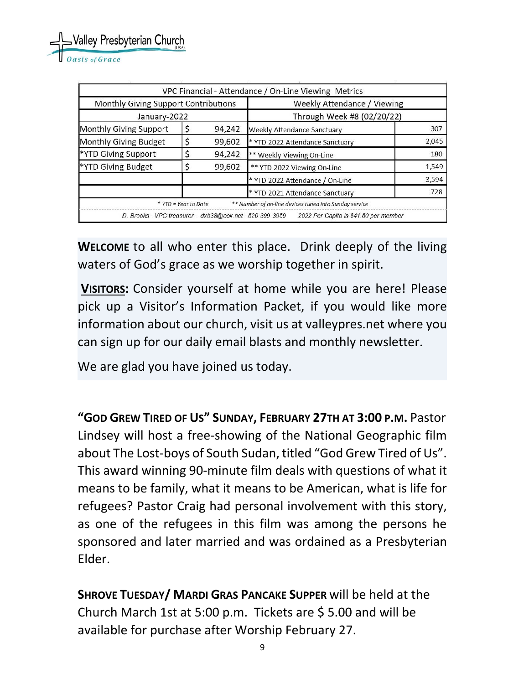|                                                          |                      |                             | VPC Financial - Attendance / On-Line Viewing Metrics   |       |
|----------------------------------------------------------|----------------------|-----------------------------|--------------------------------------------------------|-------|
| Monthly Giving Support Contributions                     |                      | Weekly Attendance / Viewing |                                                        |       |
| January-2022                                             |                      | Through Week #8 (02/20/22)  |                                                        |       |
| Monthly Giving Support                                   |                      | 94,242                      | Weekly Attendance Sanctuary                            | 307   |
| Monthly Giving Budget                                    |                      | 99,602                      | * YTD 2022 Attendance Sanctuary                        | 2,045 |
| *YTD Giving Support                                      |                      | 94,242                      | ** Weekly Viewing On-Line                              | 180   |
| *YTD Giving Budget                                       |                      | 99,602                      | ** YTD 2022 Viewing On-Line                            | 1,549 |
|                                                          |                      |                             | * YTD 2022 Attendance / On-Line                        | 3,594 |
|                                                          |                      |                             | * YTD 2021 Attendance Sanctuary                        | 728   |
|                                                          | * YTD = Year to Date |                             | ** Number of on-line devices tuned into Sunday service |       |
| D. Brooks - VPC treasurer - dxb38@cox.net - 520-399-3959 |                      |                             | 2022 Per Capita is \$41.50 per member                  |       |

**WELCOME** to all who enter this place. Drink deeply of the living waters of God's grace as we worship together in spirit.

**VISITORS:** Consider yourself at home while you are here! Please pick up a Visitor's Information Packet, if you would like more information about our church, visit us at valleypres.net where you can sign up for our daily email blasts and monthly newsletter.

We are glad you have joined us today.

**"GOD GREW TIRED OF US" SUNDAY, FEBRUARY 27TH AT 3:00 P.M.** Pastor Lindsey will host a free-showing of the National Geographic film about The Lost-boys of South Sudan, titled "God Grew Tired of Us". This award winning 90-minute film deals with questions of what it means to be family, what it means to be American, what is life for refugees? Pastor Craig had personal involvement with this story, as one of the refugees in this film was among the persons he sponsored and later married and was ordained as a Presbyterian Elder.

**SHROVE TUESDAY/ MARDI GRAS PANCAKE SUPPER** will be held at the Church March 1st at 5:00 p.m. Tickets are \$ 5.00 and will be available for purchase after Worship February 27.